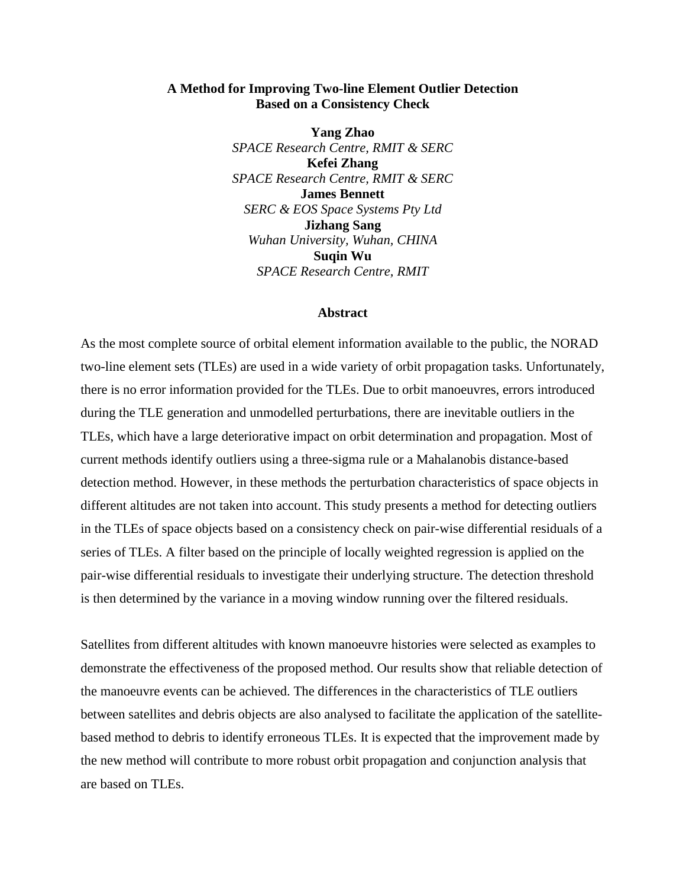## **A Method for Improving Two-line Element Outlier Detection Based on a Consistency Check**

**Yang Zhao** *SPACE Research Centre, RMIT & SERC* **Kefei Zhang** *SPACE Research Centre, RMIT & SERC* **James Bennett** *SERC & EOS Space Systems Pty Ltd*  **Jizhang Sang** *Wuhan University, Wuhan, CHINA* **Suqin Wu** *SPACE Research Centre, RMIT*

#### **Abstract**

As the most complete source of orbital element information available to the public, the NORAD two-line element sets (TLEs) are used in a wide variety of orbit propagation tasks. Unfortunately, there is no error information provided for the TLEs. Due to orbit manoeuvres, errors introduced during the TLE generation and unmodelled perturbations, there are inevitable outliers in the TLEs, which have a large deteriorative impact on orbit determination and propagation. Most of current methods identify outliers using a three-sigma rule or a Mahalanobis distance-based detection method. However, in these methods the perturbation characteristics of space objects in different altitudes are not taken into account. This study presents a method for detecting outliers in the TLEs of space objects based on a consistency check on pair-wise differential residuals of a series of TLEs. A filter based on the principle of locally weighted regression is applied on the pair-wise differential residuals to investigate their underlying structure. The detection threshold is then determined by the variance in a moving window running over the filtered residuals.

Satellites from different altitudes with known manoeuvre histories were selected as examples to demonstrate the effectiveness of the proposed method. Our results show that reliable detection of the manoeuvre events can be achieved. The differences in the characteristics of TLE outliers between satellites and debris objects are also analysed to facilitate the application of the satellitebased method to debris to identify erroneous TLEs. It is expected that the improvement made by the new method will contribute to more robust orbit propagation and conjunction analysis that are based on TLEs.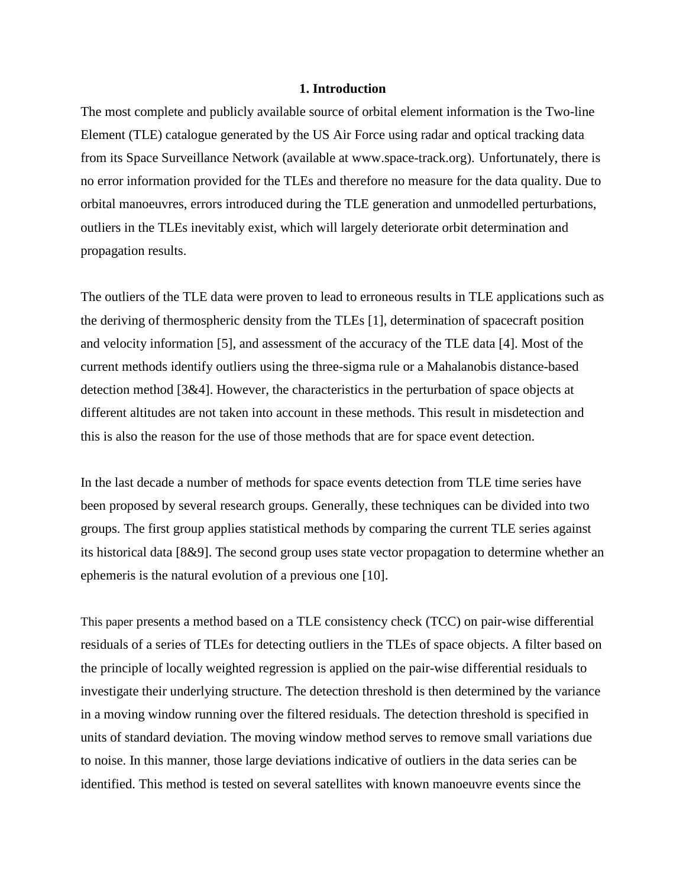### **1. Introduction**

The most complete and publicly available source of orbital element information is the Two-line Element (TLE) catalogue generated by the US Air Force using radar and optical tracking data from its Space Surveillance Network (available at www.space-track.org). Unfortunately, there is no error information provided for the TLEs and therefore no measure for the data quality. Due to orbital manoeuvres, errors introduced during the TLE generation and unmodelled perturbations, outliers in the TLEs inevitably exist, which will largely deteriorate orbit determination and propagation results.

The outliers of the TLE data were proven to lead to erroneous results in TLE applications such as the deriving of thermospheric density from the TLEs [1], determination of spacecraft position and velocity information [5], and assessment of the accuracy of the TLE data [4]. Most of the current methods identify outliers using the three-sigma rule or a Mahalanobis distance-based detection method [3&4]. However, the characteristics in the perturbation of space objects at different altitudes are not taken into account in these methods. This result in misdetection and this is also the reason for the use of those methods that are for space event detection.

In the last decade a number of methods for space events detection from TLE time series have been proposed by several research groups. Generally, these techniques can be divided into two groups. The first group applies statistical methods by comparing the current TLE series against its historical data [8&9]. The second group uses state vector propagation to determine whether an ephemeris is the natural evolution of a previous one [10].

This paper presents a method based on a TLE consistency check (TCC) on pair-wise differential residuals of a series of TLEs for detecting outliers in the TLEs of space objects. A filter based on the principle of locally weighted regression is applied on the pair-wise differential residuals to investigate their underlying structure. The detection threshold is then determined by the variance in a moving window running over the filtered residuals. The detection threshold is specified in units of standard deviation. The moving window method serves to remove small variations due to noise. In this manner, those large deviations indicative of outliers in the data series can be identified. This method is tested on several satellites with known manoeuvre events since the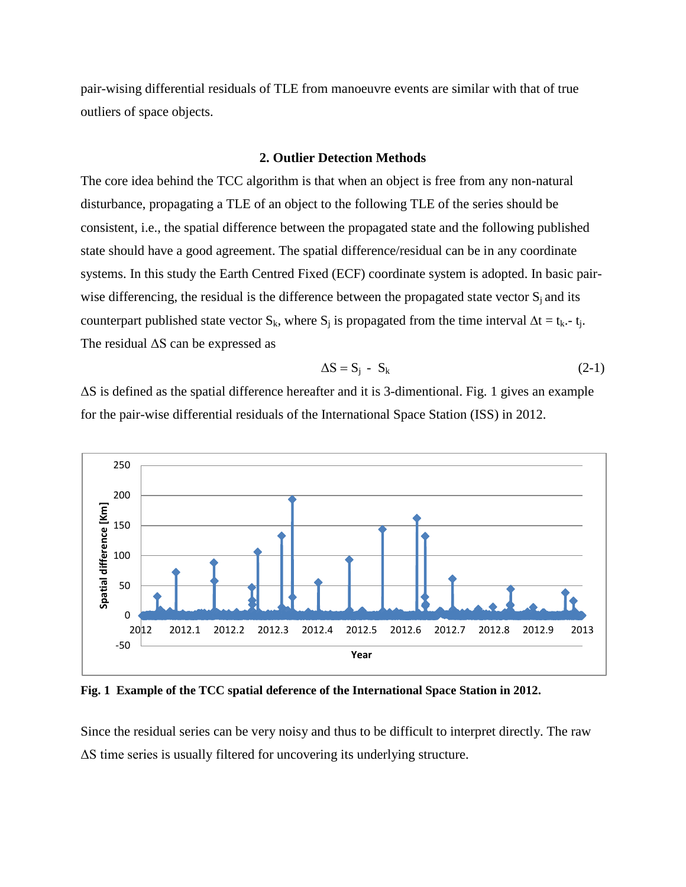pair-wising differential residuals of TLE from manoeuvre events are similar with that of true outliers of space objects.

### **2. Outlier Detection Methods**

The core idea behind the TCC algorithm is that when an object is free from any non-natural disturbance, propagating a TLE of an object to the following TLE of the series should be consistent, i.e., the spatial difference between the propagated state and the following published state should have a good agreement. The spatial difference/residual can be in any coordinate systems. In this study the Earth Centred Fixed (ECF) coordinate system is adopted. In basic pairwise differencing, the residual is the difference between the propagated state vector  $S_i$  and its counterpart published state vector S<sub>k</sub>, where S<sub>i</sub> is propagated from the time interval  $\Delta t = t_k - t_i$ . The residual  $\Delta S$  can be expressed as

$$
\Delta S = S_j - S_k \tag{2-1}
$$

ΔS is defined as the spatial difference hereafter and it is 3-dimentional. Fig. 1 gives an example for the pair-wise differential residuals of the International Space Station (ISS) in 2012.



**Fig. 1 Example of the TCC spatial deference of the International Space Station in 2012.**

Since the residual series can be very noisy and thus to be difficult to interpret directly. The raw ΔS time series is usually filtered for uncovering its underlying structure.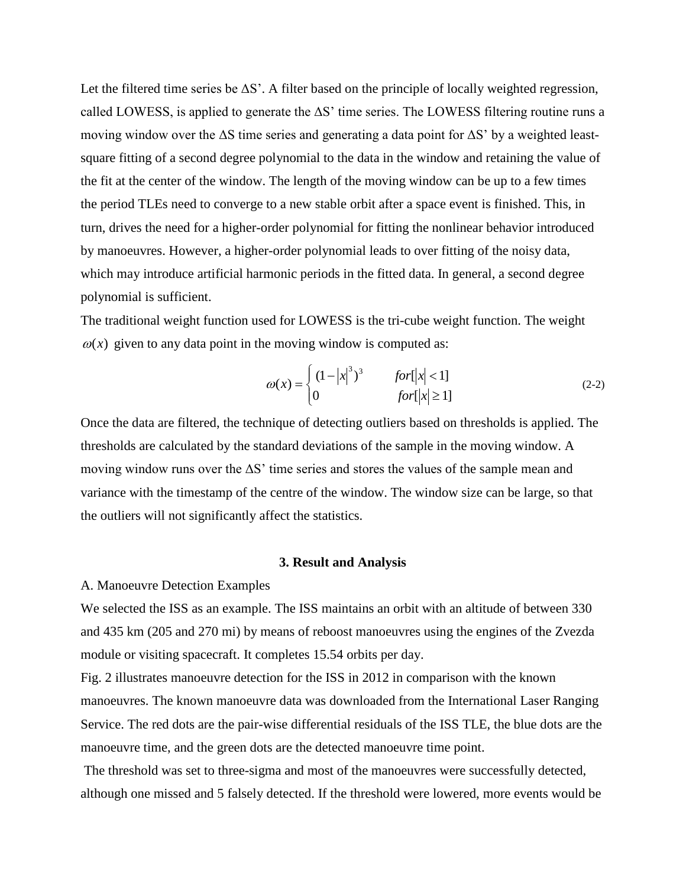Let the filtered time series be  $\Delta S'$ . A filter based on the principle of locally weighted regression, called LOWESS, is applied to generate the  $\Delta S'$  time series. The LOWESS filtering routine runs a moving window over the  $\Delta S$  time series and generating a data point for  $\Delta S'$  by a weighted leastsquare fitting of a second degree polynomial to the data in the window and retaining the value of the fit at the center of the window. The length of the moving window can be up to a few times the period TLEs need to converge to a new stable orbit after a space event is finished. This, in turn, drives the need for a higher-order polynomial for fitting the nonlinear behavior introduced by manoeuvres. However, a higher-order polynomial leads to over fitting of the noisy data, which may introduce artificial harmonic periods in the fitted data. In general, a second degree polynomial is sufficient.

The traditional weight function used for LOWESS is the tri-cube weight function. The weight  $\omega(x)$  given to any data point in the moving window is computed as:

$$
\omega(x) = \begin{cases} (1-|x|^3)^3 & \text{for } |x| < 1\\ 0 & \text{for } |x| \ge 1 \end{cases}
$$
 (2-2)

Once the data are filtered, the technique of detecting outliers based on thresholds is applied. The thresholds are calculated by the standard deviations of the sample in the moving window. A moving window runs over the  $\Delta S'$  time series and stores the values of the sample mean and variance with the timestamp of the centre of the window. The window size can be large, so that the outliers will not significantly affect the statistics.

## **3. Result and Analysis**

### A. Manoeuvre Detection Examples

We selected the ISS as an example. The ISS maintains an orbit with an altitude of between 330 and 435 km (205 and 270 mi) by means of reboost manoeuvres using the engines of the Zvezda module or visiting spacecraft. It completes 15.54 orbits per day.

Fig. 2 illustrates manoeuvre detection for the ISS in 2012 in comparison with the known manoeuvres. The known manoeuvre data was downloaded from the International Laser Ranging Service. The red dots are the pair-wise differential residuals of the ISS TLE, the blue dots are the manoeuvre time, and the green dots are the detected manoeuvre time point.

The threshold was set to three-sigma and most of the manoeuvres were successfully detected, although one missed and 5 falsely detected. If the threshold were lowered, more events would be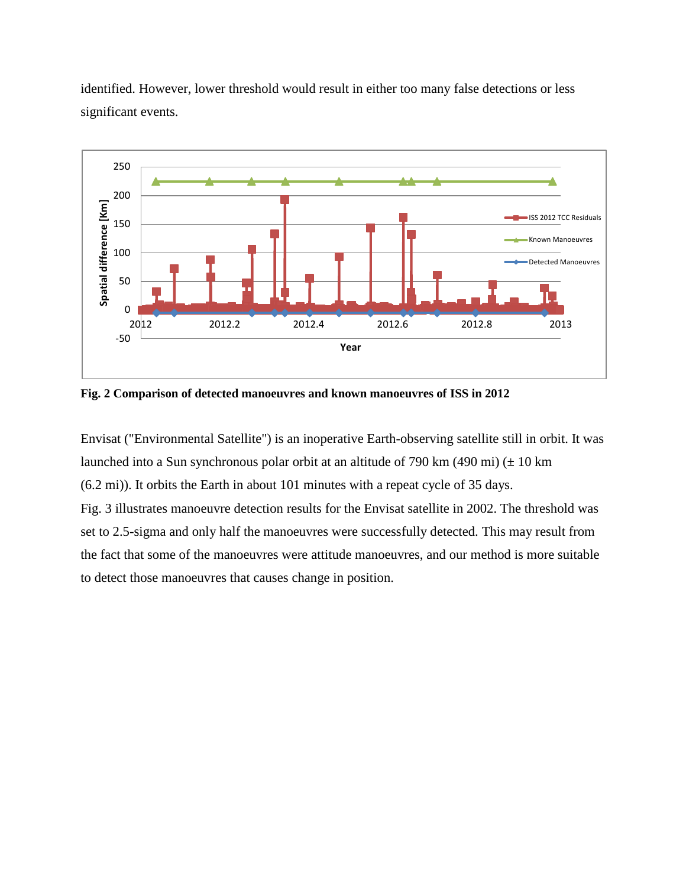

identified. However, lower threshold would result in either too many false detections or less significant events.

**Fig. 2 Comparison of detected manoeuvres and known manoeuvres of ISS in 2012**

Envisat ("Environmental Satellite") is an inoperative Earth-observing satellite still in orbit. It was launched into a Sun synchronous polar orbit at an altitude of 790 km  $(490 \text{ mi}) (\pm 10 \text{ km})$ (6.2 mi)). It orbits the Earth in about 101 minutes with a repeat cycle of 35 days. Fig. 3 illustrates manoeuvre detection results for the Envisat satellite in 2002. The threshold was set to 2.5-sigma and only half the manoeuvres were successfully detected. This may result from the fact that some of the manoeuvres were attitude manoeuvres, and our method is more suitable to detect those manoeuvres that causes change in position.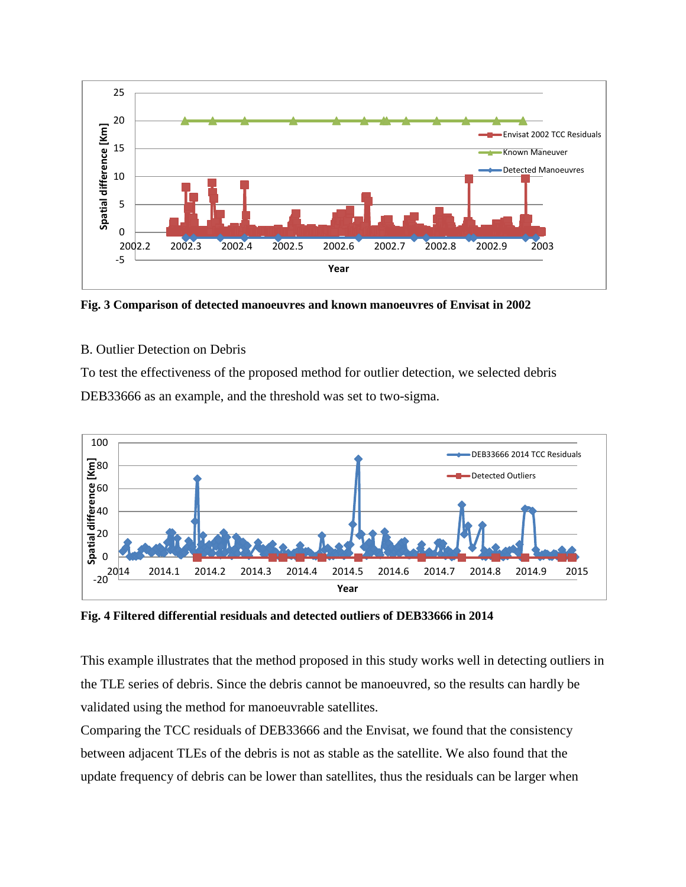

**Fig. 3 Comparison of detected manoeuvres and known manoeuvres of Envisat in 2002**

# B. Outlier Detection on Debris

To test the effectiveness of the proposed method for outlier detection, we selected debris DEB33666 as an example, and the threshold was set to two-sigma.



**Fig. 4 Filtered differential residuals and detected outliers of DEB33666 in 2014**

This example illustrates that the method proposed in this study works well in detecting outliers in the TLE series of debris. Since the debris cannot be manoeuvred, so the results can hardly be validated using the method for manoeuvrable satellites.

Comparing the TCC residuals of DEB33666 and the Envisat, we found that the consistency between adjacent TLEs of the debris is not as stable as the satellite. We also found that the update frequency of debris can be lower than satellites, thus the residuals can be larger when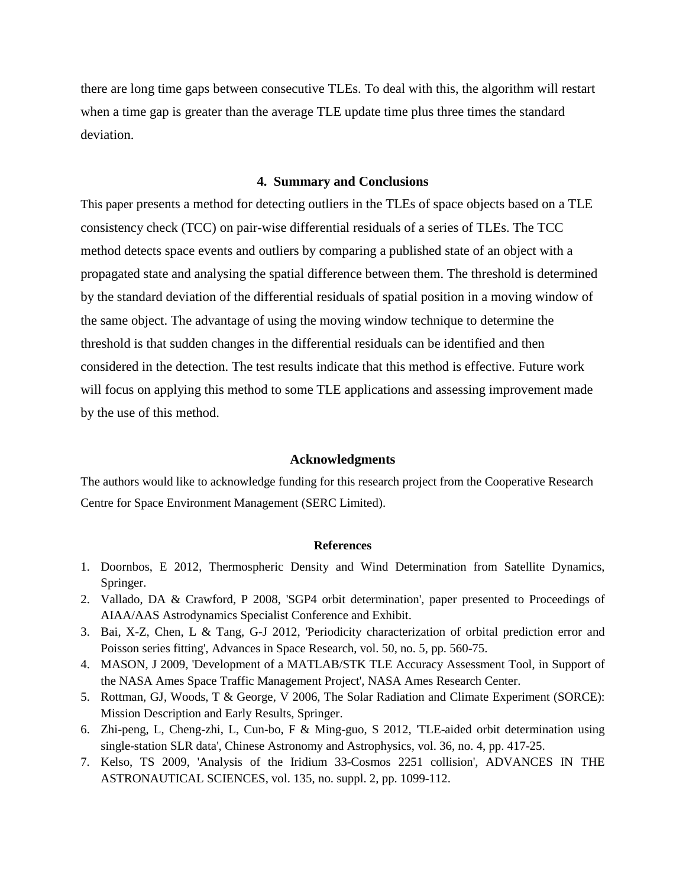there are long time gaps between consecutive TLEs. To deal with this, the algorithm will restart when a time gap is greater than the average TLE update time plus three times the standard deviation.

## **4. Summary and Conclusions**

This paper presents a method for detecting outliers in the TLEs of space objects based on a TLE consistency check (TCC) on pair-wise differential residuals of a series of TLEs. The TCC method detects space events and outliers by comparing a published state of an object with a propagated state and analysing the spatial difference between them. The threshold is determined by the standard deviation of the differential residuals of spatial position in a moving window of the same object. The advantage of using the moving window technique to determine the threshold is that sudden changes in the differential residuals can be identified and then considered in the detection. The test results indicate that this method is effective. Future work will focus on applying this method to some TLE applications and assessing improvement made by the use of this method.

#### **Acknowledgments**

The authors would like to acknowledge funding for this research project from the Cooperative Research Centre for Space Environment Management (SERC Limited).

#### **References**

- 1. Doornbos, E 2012, Thermospheric Density and Wind Determination from Satellite Dynamics, Springer.
- 2. Vallado, DA & Crawford, P 2008, 'SGP4 orbit determination', paper presented to Proceedings of AIAA/AAS Astrodynamics Specialist Conference and Exhibit.
- 3. Bai, X-Z, Chen, L & Tang, G-J 2012, 'Periodicity characterization of orbital prediction error and Poisson series fitting', Advances in Space Research, vol. 50, no. 5, pp. 560-75.
- 4. MASON, J 2009, 'Development of a MATLAB/STK TLE Accuracy Assessment Tool, in Support of the NASA Ames Space Traffic Management Project', NASA Ames Research Center.
- 5. Rottman, GJ, Woods, T & George, V 2006, The Solar Radiation and Climate Experiment (SORCE): Mission Description and Early Results, Springer.
- 6. Zhi-peng, L, Cheng-zhi, L, Cun-bo, F & Ming-guo, S 2012, 'TLE-aided orbit determination using single-station SLR data', Chinese Astronomy and Astrophysics, vol. 36, no. 4, pp. 417-25.
- 7. Kelso, TS 2009, 'Analysis of the Iridium 33-Cosmos 2251 collision', ADVANCES IN THE ASTRONAUTICAL SCIENCES, vol. 135, no. suppl. 2, pp. 1099-112.